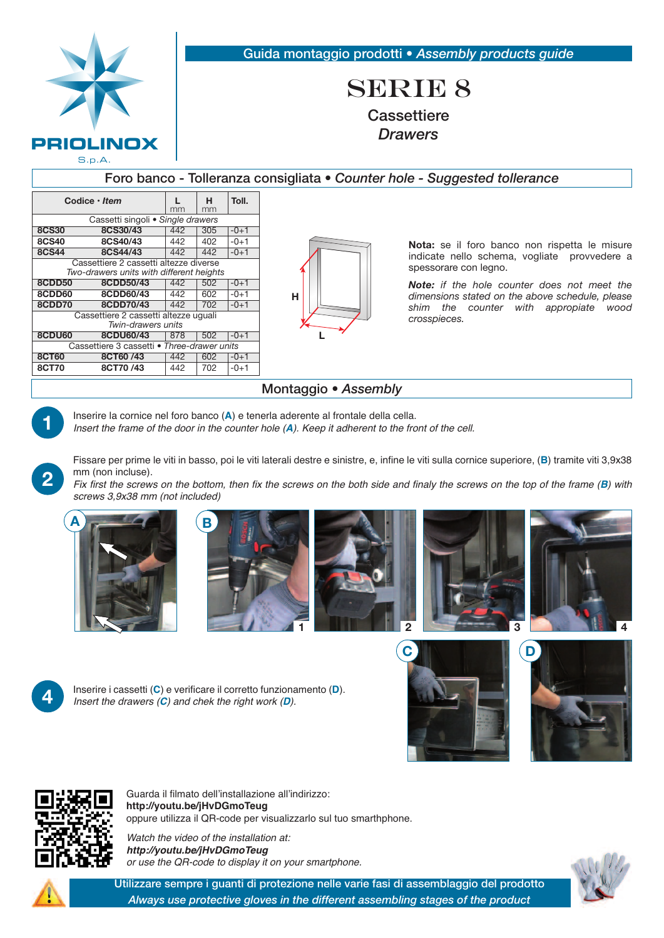| PRIOLINOX<br>S.p.A.                                                                |                                   |     |         |        |                       | Guida montaggio prodotti · Assembly products guide<br><b>SERIE 8</b><br>Cassettiere<br><b>Drawers</b> |  |  |
|------------------------------------------------------------------------------------|-----------------------------------|-----|---------|--------|-----------------------|-------------------------------------------------------------------------------------------------------|--|--|
| Foro banco - Tolleranza consigliata • Counter hole - Suggested tollerance          |                                   |     |         |        |                       |                                                                                                       |  |  |
|                                                                                    | Codice $\cdot$ Item               | mm  | н<br>mm | Toll.  |                       |                                                                                                       |  |  |
|                                                                                    | Cassetti singoli · Single drawers |     |         |        |                       |                                                                                                       |  |  |
| <b>8CS30</b>                                                                       | 8CS30/43                          | 442 | 305     | $-0+1$ |                       |                                                                                                       |  |  |
| <b>8CS40</b>                                                                       | 8CS40/43                          | 442 | 402     | $-0+1$ |                       | Nota: se il foro banco non rispetta le misure                                                         |  |  |
| <b>8CS44</b>                                                                       | 8CS44/43                          | 442 | 442     | $-0+1$ |                       | indicate nello schema, vogliate provvedere a                                                          |  |  |
| Cassettiere 2 cassetti altezze diverse<br>Two-drawers units with different heights |                                   |     |         |        | spessorare con legno. |                                                                                                       |  |  |
| <b>8CDD50</b>                                                                      | 8CDD50/43                         | 442 | 502     | $-0+1$ |                       | <b>Note:</b> if the hole counter does not meet the                                                    |  |  |
| 8CDD60                                                                             | 8CDD60/43                         | 442 | 602     | $-0+1$ | н                     | dimensions stated on the above schedule, please                                                       |  |  |
| 8CDD70                                                                             | 8CDD70/43                         | 442 | 702     | $-0+1$ |                       | shim the counter with appropiate<br>wood                                                              |  |  |
| Cassettiere 2 cassetti altezze uguali<br>Twin-drawers units                        |                                   |     |         |        |                       | crosspieces.                                                                                          |  |  |
| 8CDU60                                                                             | 8CDU60/43                         | 878 | 502     | $-0+1$ |                       |                                                                                                       |  |  |
| Cassettiere 3 cassetti · Three-drawer units                                        |                                   |     |         |        |                       |                                                                                                       |  |  |
| <b>8CT60</b>                                                                       | 8CT60/43                          | 442 | 602     | $-0+1$ |                       |                                                                                                       |  |  |

## Montaggio • *Assembly*

**8CT70 8CT70 /43** 442 702 -0+1

Inserire la cornice nel foro banco (A) e tenerla aderente al frontale della cella.<br>Insert the frame of the door in the counter hole (A). Keep it adherent to the front of the cell.

Fissare per prime le viti in basso, poi le viti laterali destre e sinistre, e, infine le viti sulla cornice superiore, (**B**) tramite viti 3,9x38 mm (non incluse).

Fix first the screws on the bottom, then fix the screws on the both side and finaly the screws on the top of the frame  $(B)$  with *screws 3,9x38 mm (not included)*

**A**









**2**

**4.** Inserire i cassetti (C) e verificare il corretto funzionamento (D).<br>Insert the drawers (C) and chek the right work (D).







Guarda il filmato dell'installazione all'indirizzo: **http://youtu.be/jHvDGmoTeug** oppure utilizza il QR-code per visualizzarlo sul tuo smarthphone.

*Watch the video of the installation at: http://youtu.be/jHvDGmoTeug or use the QR-code to display it on your smartphone.*



Utilizzare sempre i guanti di protezione nelle varie fasi di assemblaggio del prodotto *Always use protective gloves in the different assembling stages of the product*